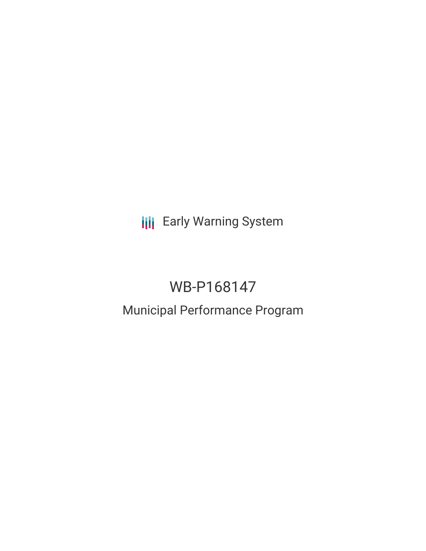**III** Early Warning System

# WB-P168147

## Municipal Performance Program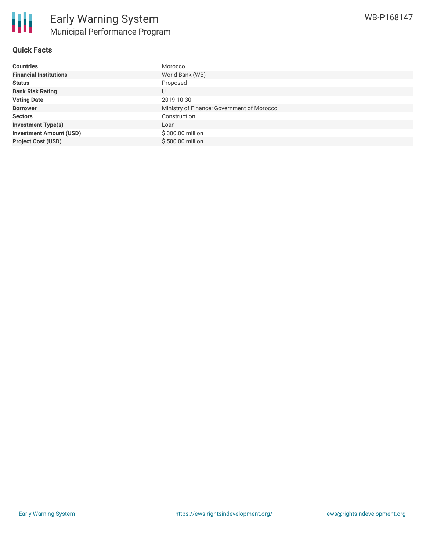

## **Quick Facts**

| <b>Countries</b>               | Morocco                                    |
|--------------------------------|--------------------------------------------|
| <b>Financial Institutions</b>  | World Bank (WB)                            |
| <b>Status</b>                  | Proposed                                   |
| <b>Bank Risk Rating</b>        | U                                          |
| <b>Voting Date</b>             | 2019-10-30                                 |
| <b>Borrower</b>                | Ministry of Finance: Government of Morocco |
| <b>Sectors</b>                 | Construction                               |
| <b>Investment Type(s)</b>      | Loan                                       |
| <b>Investment Amount (USD)</b> | \$300.00 million                           |
| <b>Project Cost (USD)</b>      | \$500.00 million                           |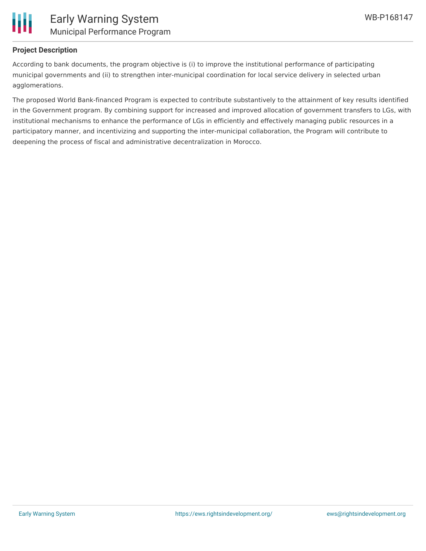

## **Project Description**

According to bank documents, the program objective is (i) to improve the institutional performance of participating municipal governments and (ii) to strengthen inter-municipal coordination for local service delivery in selected urban agglomerations.

The proposed World Bank-financed Program is expected to contribute substantively to the attainment of key results identified in the Government program. By combining support for increased and improved allocation of government transfers to LGs, with institutional mechanisms to enhance the performance of LGs in efficiently and effectively managing public resources in a participatory manner, and incentivizing and supporting the inter-municipal collaboration, the Program will contribute to deepening the process of fiscal and administrative decentralization in Morocco.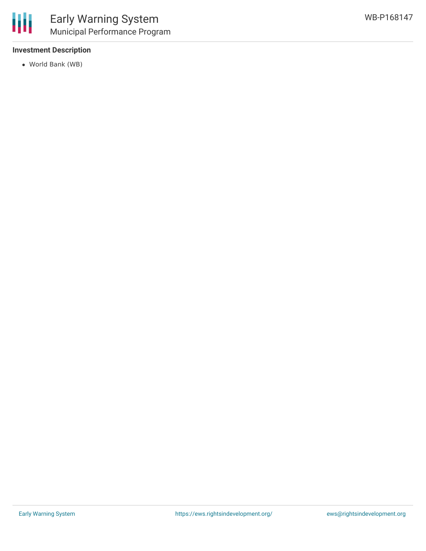

## **Investment Description**

World Bank (WB)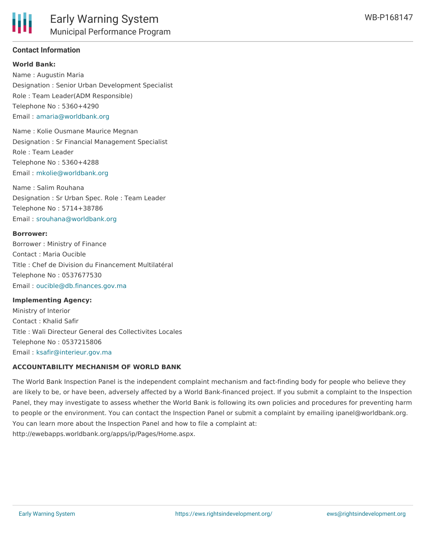## **Contact Information**

#### **World Bank:**

Name : Augustin Maria Designation : Senior Urban Development Specialist Role : Team Leader(ADM Responsible) Telephone No : 5360+4290 Email : [amaria@worldbank.org](mailto:amaria@worldbank.org)

Name : Kolie Ousmane Maurice Megnan Designation : Sr Financial Management Specialist Role : Team Leader Telephone No : 5360+4288 Email : [mkolie@worldbank.org](mailto:mkolie@worldbank.org)

Name : Salim Rouhana Designation : Sr Urban Spec. Role : Team Leader Telephone No : 5714+38786 Email : [srouhana@worldbank.org](mailto:srouhana@worldbank.org)

#### **Borrower:**

Borrower : Ministry of Finance Contact : Maria Oucible Title : Chef de Division du Financement Multilatéral Telephone No : 0537677530 Email : [oucible@db.finances.gov.ma](mailto:oucible@db.finances.gov.ma)

#### **Implementing Agency:**

Ministry of Interior Contact : Khalid Safir Title : Wali Directeur General des Collectivites Locales Telephone No : 0537215806 Email : [ksafir@interieur.gov.ma](mailto:ksafir@interieur.gov.ma)

#### **ACCOUNTABILITY MECHANISM OF WORLD BANK**

The World Bank Inspection Panel is the independent complaint mechanism and fact-finding body for people who believe they are likely to be, or have been, adversely affected by a World Bank-financed project. If you submit a complaint to the Inspection Panel, they may investigate to assess whether the World Bank is following its own policies and procedures for preventing harm to people or the environment. You can contact the Inspection Panel or submit a complaint by emailing ipanel@worldbank.org. You can learn more about the Inspection Panel and how to file a complaint at: http://ewebapps.worldbank.org/apps/ip/Pages/Home.aspx.